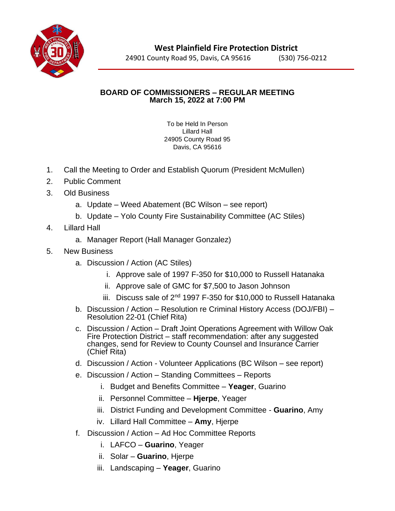

24901 County Road 95, Davis, CA 95616 (530) 756-0212

## **BOARD OF COMMISSIONERS – REGULAR MEETING March 15, 2022 at 7:00 PM**

To be Held In Person Lillard Hall 24905 County Road 95 Davis, CA 95616

- 1. Call the Meeting to Order and Establish Quorum (President McMullen)
- 2. Public Comment
- 3. Old Business
	- a. Update Weed Abatement (BC Wilson see report)
	- b. Update Yolo County Fire Sustainability Committee (AC Stiles)
- 4. Lillard Hall
	- a. Manager Report (Hall Manager Gonzalez)
- 5. New Business
	- a. Discussion / Action (AC Stiles)
		- i. Approve sale of 1997 F-350 for \$10,000 to Russell Hatanaka
		- ii. Approve sale of GMC for \$7,500 to Jason Johnson
		- iii. Discuss sale of  $2^{nd}$  1997 F-350 for \$10,000 to Russell Hatanaka
	- b. Discussion / Action Resolution re Criminal History Access (DOJ/FBI) Resolution 22-01 (Chief Rita)
	- c. Discussion / Action Draft Joint Operations Agreement with Willow Oak Fire Protection District – staff recommendation: after any suggested changes, send for Review to County Counsel and Insurance Carrier (Chief Rita)
	- d. Discussion / Action Volunteer Applications (BC Wilson see report)
	- e. Discussion / Action Standing Committees Reports
		- i. Budget and Benefits Committee **Yeager**, Guarino
		- ii. Personnel Committee **Hjerpe**, Yeager
		- iii. District Funding and Development Committee **Guarino**, Amy
		- iv. Lillard Hall Committee **Amy**, Hjerpe
	- f. Discussion / Action Ad Hoc Committee Reports
		- i. LAFCO **Guarino**, Yeager
		- ii. Solar **Guarino**, Hjerpe
		- iii. Landscaping **Yeager**, Guarino